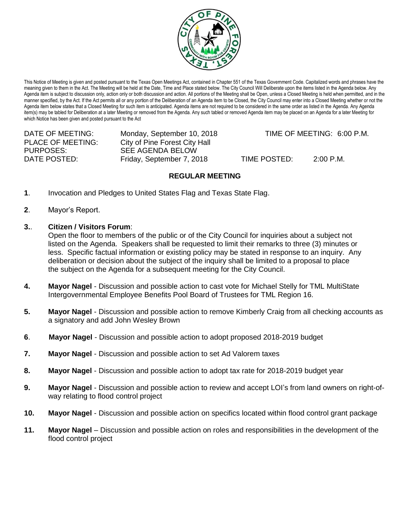

This Notice of Meeting is given and posted pursuant to the Texas Open Meetings Act, contained in Chapter 551 of the Texas Government Code. Capitalized words and phrases have the meaning given to them in the Act. The Meeting will be held at the Date, Time and Place stated below. The City Council Will Deliberate upon the items listed in the Agenda below. Any Agenda item is subject to discussion only, action only or both discussion and action. All portions of the Meeting shall be Open, unless a Closed Meeting is held when permitted, and in the manner specified, by the Act. If the Act permits all or any portion of the Deliberation of an Agenda item to be Closed, the City Council may enter into a Closed Meeting whether or not the Agenda item below states that a Closed Meeting for such item is anticipated. Agenda items are not required to be considered in the same order as listed in the Agenda. Any Agenda item(s) may be tabled for Deliberation at a later Meeting or removed from the Agenda. Any such tabled or removed Agenda item may be placed on an Agenda for a later Meeting for which Notice has been given and posted pursuant to the Act

| DATE OF MEETING:  | Monday, September 10, 2018    |              | TIME OF MEETING: 6:00 P.M. |
|-------------------|-------------------------------|--------------|----------------------------|
| PLACE OF MEETING: | City of Pine Forest City Hall |              |                            |
| PURPOSES:         | SEE AGENDA BELOW              |              |                            |
| DATE POSTED:      | Friday, September 7, 2018     | TIME POSTED: | 2:00 P.M.                  |

## **REGULAR MEETING**

- **1**. Invocation and Pledges to United States Flag and Texas State Flag.
- **2**. Mayor's Report.
- **3.**. **Citizen / Visitors Forum**:

Open the floor to members of the public or of the City Council for inquiries about a subject not listed on the Agenda. Speakers shall be requested to limit their remarks to three (3) minutes or less. Specific factual information or existing policy may be stated in response to an inquiry. Any deliberation or decision about the subject of the inquiry shall be limited to a proposal to place the subject on the Agenda for a subsequent meeting for the City Council.

- **4. Mayor Nagel** Discussion and possible action to cast vote for Michael Stelly for TML MultiState Intergovernmental Employee Benefits Pool Board of Trustees for TML Region 16.
- **5. Mayor Nagel** Discussion and possible action to remove Kimberly Craig from all checking accounts as a signatory and add John Wesley Brown
- **6**. **Mayor Nagel** Discussion and possible action to adopt proposed 2018-2019 budget
- **7. Mayor Nagel** Discussion and possible action to set Ad Valorem taxes
- **8. Mayor Nagel** Discussion and possible action to adopt tax rate for 2018-2019 budget year
- **9. Mayor Nagel** Discussion and possible action to review and accept LOI's from land owners on right-ofway relating to flood control project
- **10. Mayor Nagel** Discussion and possible action on specifics located within flood control grant package
- **11. Mayor Nagel**  Discussion and possible action on roles and responsibilities in the development of the flood control project